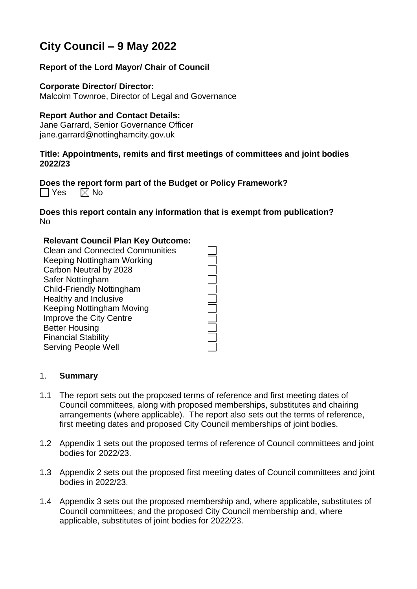# **City Council – 9 May 2022**

## **Report of the Lord Mayor/ Chair of Council**

#### **Corporate Director/ Director:**

Malcolm Townroe, Director of Legal and Governance

#### **Report Author and Contact Details:**

Jane Garrard, Senior Governance Officer jane.garrard@nottinghamcity.gov.uk

#### **Title: Appointments, remits and first meetings of committees and joint bodies 2022/23**

## **Does the report form part of the Budget or Policy Framework?**

 $\Box$  Yes  $\Box$  No

#### **Does this report contain any information that is exempt from publication?** No

#### **Relevant Council Plan Key Outcome:**

Clean and Connected Communities Keeping Nottingham Working Carbon Neutral by 2028 Safer Nottingham Child-Friendly Nottingham Healthy and Inclusive Keeping Nottingham Moving Improve the City Centre Better Housing Financial Stability Serving People Well

#### 1. **Summary**

- 1.1 The report sets out the proposed terms of reference and first meeting dates of Council committees, along with proposed memberships, substitutes and chairing arrangements (where applicable). The report also sets out the terms of reference, first meeting dates and proposed City Council memberships of joint bodies.
- 1.2 Appendix 1 sets out the proposed terms of reference of Council committees and joint bodies for 2022/23.
- 1.3 Appendix 2 sets out the proposed first meeting dates of Council committees and joint bodies in 2022/23.
- 1.4 Appendix 3 sets out the proposed membership and, where applicable, substitutes of Council committees; and the proposed City Council membership and, where applicable, substitutes of joint bodies for 2022/23.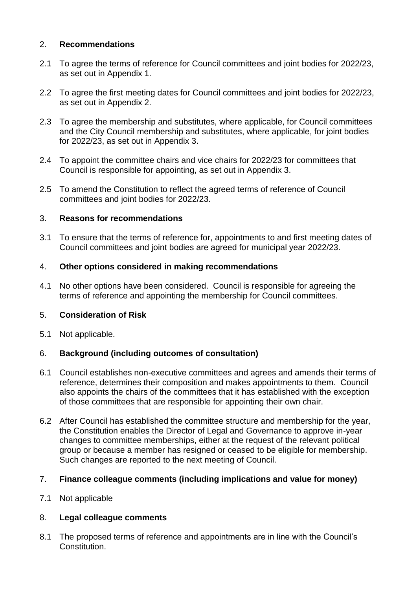## 2. **Recommendations**

- 2.1 To agree the terms of reference for Council committees and joint bodies for 2022/23, as set out in Appendix 1.
- 2.2 To agree the first meeting dates for Council committees and joint bodies for 2022/23, as set out in Appendix 2.
- 2.3 To agree the membership and substitutes, where applicable, for Council committees and the City Council membership and substitutes, where applicable, for joint bodies for 2022/23, as set out in Appendix 3.
- 2.4 To appoint the committee chairs and vice chairs for 2022/23 for committees that Council is responsible for appointing, as set out in Appendix 3.
- 2.5 To amend the Constitution to reflect the agreed terms of reference of Council committees and joint bodies for 2022/23.

#### 3. **Reasons for recommendations**

3.1 To ensure that the terms of reference for, appointments to and first meeting dates of Council committees and joint bodies are agreed for municipal year 2022/23.

#### 4. **Other options considered in making recommendations**

4.1 No other options have been considered. Council is responsible for agreeing the terms of reference and appointing the membership for Council committees.

## 5. **Consideration of Risk**

5.1 Not applicable.

## 6. **Background (including outcomes of consultation)**

- 6.1 Council establishes non-executive committees and agrees and amends their terms of reference, determines their composition and makes appointments to them. Council also appoints the chairs of the committees that it has established with the exception of those committees that are responsible for appointing their own chair.
- 6.2 After Council has established the committee structure and membership for the year, the Constitution enables the Director of Legal and Governance to approve in-year changes to committee memberships, either at the request of the relevant political group or because a member has resigned or ceased to be eligible for membership. Such changes are reported to the next meeting of Council.

#### 7. **Finance colleague comments (including implications and value for money)**

#### 7.1 Not applicable

## 8. **Legal colleague comments**

8.1 The proposed terms of reference and appointments are in line with the Council's Constitution.